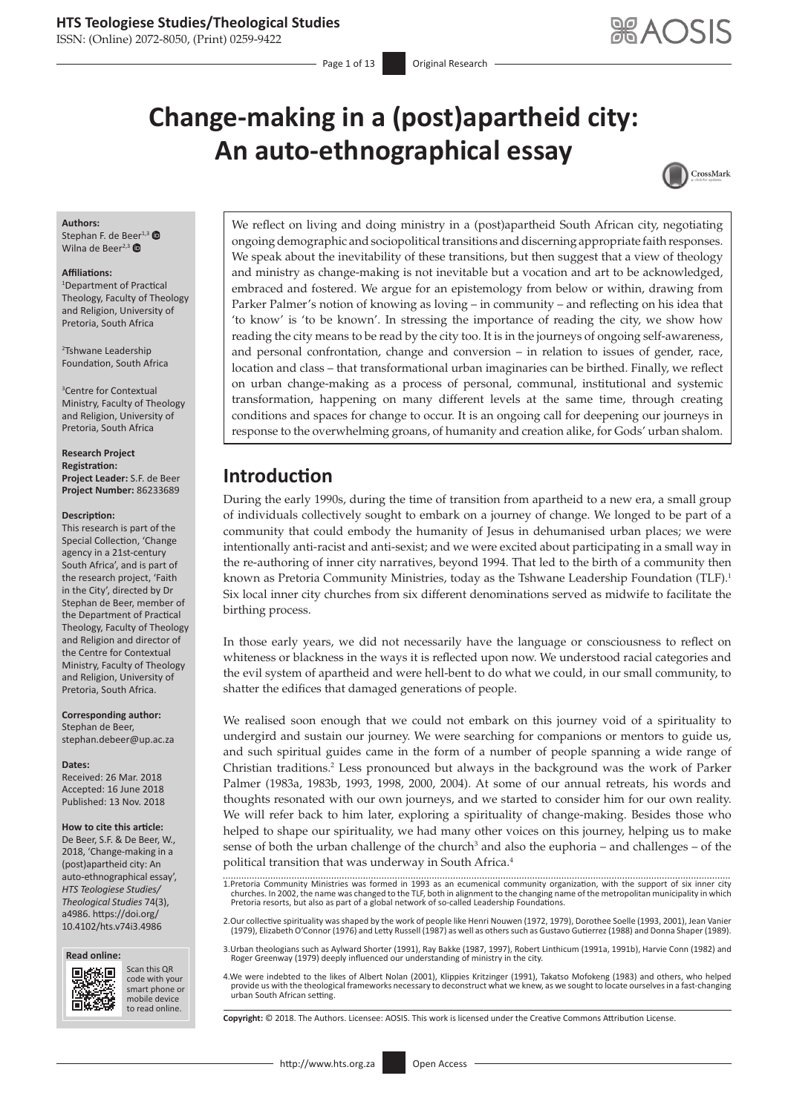ISSN: (Online) 2072-8050, (Print) 0259-9422

# **Change-making in a (post)apartheid city: An auto-ethnographical essay**



#### **Authors:**

Stephan F. de Beer<sup>1,[3](https://orcid.org/0000-0002-8614-099X)</sup> Wilna de Beer<sup>2,[3](https://orcid.org/0000-0003-0668-1655)</sup>  $\bullet$ 

#### **Affiliations:**

1 Department of Practical Theology, Faculty of Theology and Religion, University of Pretoria, South Africa

2 Tshwane Leadership Foundation, South Africa

3 Centre for Contextual Ministry, Faculty of Theology and Religion, University of Pretoria, South Africa

**Research Project Registration: Project Leader:** S.F. de Beer **Project Number:** 86233689

#### **Description:**

This research is part of the Special Collection, 'Change agency in a 21st-century South Africa', and is part of the research project, 'Faith in the City', directed by Dr Stephan de Beer, member of the Department of Practical Theology, Faculty of Theology and Religion and director of the Centre for Contextual Ministry, Faculty of Theology and Religion, University of Pretoria, South Africa.

#### **Corresponding author:**

Stephan de Beer, [stephan.debeer@up.ac.za](mailto:stephan.debeer@up.ac.za)

#### **Dates:**

Received: 26 Mar. 2018 Accepted: 16 June 2018 Published: 13 Nov. 2018

#### **How to cite this article:**

De Beer, S.F. & De Beer, W., 2018, 'Change-making in a (post)apartheid city: An auto-ethnographical essay', *HTS Teologiese Studies/ Theological Studies* 74(3), a4986. [https://doi.org/](https://doi.org/10.4102/hts.v74i3.4986) [10.4102/hts.v74i3.4986](https://doi.org/10.4102/hts.v74i3.4986)





Scan this QR code with your Scan this QR<br>code with your<br>smart phone or<br>mobile device mobile device to read online. to read online.

We reflect on living and doing ministry in a (post)apartheid South African city, negotiating ongoing demographic and sociopolitical transitions and discerning appropriate faith responses. We speak about the inevitability of these transitions, but then suggest that a view of theology and ministry as change-making is not inevitable but a vocation and art to be acknowledged, embraced and fostered. We argue for an epistemology from below or within, drawing from Parker Palmer's notion of knowing as loving – in community – and reflecting on his idea that 'to know' is 'to be known'. In stressing the importance of reading the city, we show how reading the city means to be read by the city too. It is in the journeys of ongoing self-awareness, and personal confrontation, change and conversion – in relation to issues of gender, race, location and class – that transformational urban imaginaries can be birthed. Finally, we reflect on urban change-making as a process of personal, communal, institutional and systemic transformation, happening on many different levels at the same time, through creating conditions and spaces for change to occur. It is an ongoing call for deepening our journeys in response to the overwhelming groans, of humanity and creation alike, for Gods' urban shalom.

# **Introduction**

During the early 1990s, during the time of transition from apartheid to a new era, a small group of individuals collectively sought to embark on a journey of change. We longed to be part of a community that could embody the humanity of Jesus in dehumanised urban places; we were intentionally anti-racist and anti-sexist; and we were excited about participating in a small way in the re-authoring of inner city narratives, beyond 1994. That led to the birth of a community then known as Pretoria Community Ministries, today as the Tshwane Leadership Foundation (TLF).<sup>1</sup> Six local inner city churches from six different denominations served as midwife to facilitate the birthing process.

In those early years, we did not necessarily have the language or consciousness to reflect on whiteness or blackness in the ways it is reflected upon now. We understood racial categories and the evil system of apartheid and were hell-bent to do what we could, in our small community, to shatter the edifices that damaged generations of people.

We realised soon enough that we could not embark on this journey void of a spirituality to undergird and sustain our journey. We were searching for companions or mentors to guide us, and such spiritual guides came in the form of a number of people spanning a wide range of Christian traditions.<sup>2</sup> Less pronounced but always in the background was the work of Parker Palmer (1983a, 1983b, 1993, 1998, 2000, 2004). At some of our annual retreats, his words and thoughts resonated with our own journeys, and we started to consider him for our own reality. We will refer back to him later, exploring a spirituality of change-making. Besides those who helped to shape our spirituality, we had many other voices on this journey, helping us to make sense of both the urban challenge of the church<sup>3</sup> and also the euphoria – and challenges – of the political transition that was underway in South Africa.<sup>4</sup>

2.Our collective spirituality was shaped by the work of people like Henri Nouwen (1972, 1979), Dorothee Soelle (1993, 2001), Jean Vanier<br>. (1979), Elizabeth O'Connor (1976) and Letty Russell (1987) as well as others such a

3.Urban theologians such as Aylward Shorter (1991), Ray Bakke (1987, 1997), Robert Linthicum (1991a, 1991b), Harvie Conn (1982) and Roger Greenway (1979) deeply influenced our understanding of ministry in the city.

4.We were indebted to the likes of Albert Nolan (2001), Klippies Kritzinger (1991), Takatso Mofokeng (1983) and others, who helped provide us with the theological frameworks necessary to deconstruct what we knew, as we sought to locate ourselves in a fast-changing urban South African setting.

**Copyright:** © 2018. The Authors. Licensee: AOSIS. This work is licensed under the Creative Commons Attribution License.

<sup>1.</sup>Pretoria Community Ministries was formed in 1993 as an ecumenical community organization, with the support of six inner city churches. In 2002, the name was changed to the TLF, both in alignment to the changing name of the metropolitan municipality in which Pretoria resorts, but also as part of a global network of so-called Leadership Foundations.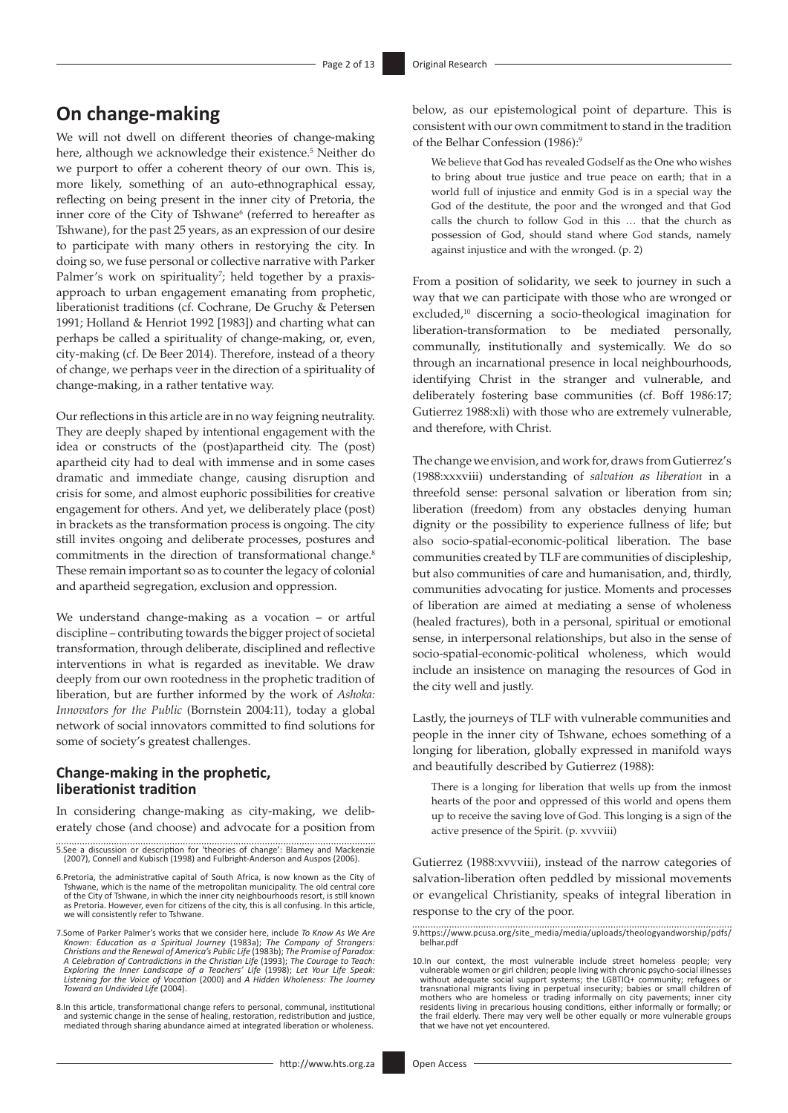# **On change-making**

We will not dwell on different theories of change-making here, although we acknowledge their existence.<sup>5</sup> Neither do we purport to offer a coherent theory of our own. This is, more likely, something of an auto-ethnographical essay, reflecting on being present in the inner city of Pretoria, the inner core of the City of Tshwane<sup>6</sup> (referred to hereafter as Tshwane), for the past 25 years, as an expression of our desire to participate with many others in restorying the city. In doing so, we fuse personal or collective narrative with Parker Palmer's work on spirituality<sup>7</sup>; held together by a praxisapproach to urban engagement emanating from prophetic, liberationist traditions (cf. Cochrane, De Gruchy & Petersen 1991; Holland & Henriot 1992 [1983]) and charting what can perhaps be called a spirituality of change-making, or, even, city-making (cf. De Beer 2014). Therefore, instead of a theory of change, we perhaps veer in the direction of a spirituality of change-making, in a rather tentative way.

Our reflections in this article are in no way feigning neutrality. They are deeply shaped by intentional engagement with the idea or constructs of the (post)apartheid city. The (post) apartheid city had to deal with immense and in some cases dramatic and immediate change, causing disruption and crisis for some, and almost euphoric possibilities for creative engagement for others. And yet, we deliberately place (post) in brackets as the transformation process is ongoing. The city still invites ongoing and deliberate processes, postures and commitments in the direction of transformational change.<sup>8</sup> These remain important so as to counter the legacy of colonial and apartheid segregation, exclusion and oppression.

We understand change-making as a vocation – or artful discipline – contributing towards the bigger project of societal transformation, through deliberate, disciplined and reflective interventions in what is regarded as inevitable. We draw deeply from our own rootedness in the prophetic tradition of liberation, but are further informed by the work of *Ashoka: Innovators for the Public* (Bornstein 2004:11), today a global network of social innovators committed to find solutions for some of society's greatest challenges.

#### **Change-making in the prophetic, liberationist tradition**

In considering change-making as city-making, we deliberately chose (and choose) and advocate for a position from

- 5.See a discussion or description for 'theories of change': Blamey and Mackenzie (2007), Connell and Kubisch (1998) and Fulbright-Anderson and Auspos (2006).
- 6.Pretoria, the administrative capital of South Africa, is now known as the City of<br>Tshwane, which is the name of the metropolitan municipality. The old central core<br>of the City of Tshwane, in which the inner city neighbou as Pretoria. However, even for citizens of the city, this is all confusing. In this article, we will consistently refer to Tshwane.
- 7.Some of Parker Palmer's works that we consider here, include To Know As We Are<br>Known: Education as a Spiritual Journey (1983a); The Company of Strangers:<br>Christians and the Renewal of America's Public Life (1983b); The P A Celebration of Contradictions in the Christian Life (1993); The Courage to Teach:<br>Exploring the Inner Landscape of a Teachers' Life (1998); Let Your Life Speak:<br>Listening for the Voice of Vocation (2000) and A Hidden Who *Toward an Undivided Life* (2004).
- 8.In this article, transformational change refers to personal, communal, institutional and systemic change in the sense of healing, restoration, redistribution and justice, mediated through sharing abundance aimed at integrated liberation or wholeness.

below, as our epistemological point of departure. This is consistent with our own commitment to stand in the tradition of the Belhar Confession (1986):<sup>9</sup>

We believe that God has revealed Godself as the One who wishes to bring about true justice and true peace on earth; that in a world full of injustice and enmity God is in a special way the God of the destitute, the poor and the wronged and that God calls the church to follow God in this … that the church as possession of God, should stand where God stands, namely against injustice and with the wronged. (p. 2)

From a position of solidarity, we seek to journey in such a way that we can participate with those who are wronged or excluded,<sup>10</sup> discerning a socio-theological imagination for liberation-transformation to be mediated personally, communally, institutionally and systemically. We do so through an incarnational presence in local neighbourhoods, identifying Christ in the stranger and vulnerable, and deliberately fostering base communities (cf. Boff 1986:17; Gutierrez 1988:xli) with those who are extremely vulnerable, and therefore, with Christ.

The change we envision, and work for, draws from Gutierrez's (1988:xxxviii) understanding of *salvation as liberation* in a threefold sense: personal salvation or liberation from sin; liberation (freedom) from any obstacles denying human dignity or the possibility to experience fullness of life; but also socio-spatial-economic-political liberation. The base communities created by TLF are communities of discipleship, but also communities of care and humanisation, and, thirdly, communities advocating for justice. Moments and processes of liberation are aimed at mediating a sense of wholeness (healed fractures), both in a personal, spiritual or emotional sense, in interpersonal relationships, but also in the sense of socio-spatial-economic-political wholeness, which would include an insistence on managing the resources of God in the city well and justly.

Lastly, the journeys of TLF with vulnerable communities and people in the inner city of Tshwane, echoes something of a longing for liberation, globally expressed in manifold ways and beautifully described by Gutierrez (1988):

There is a longing for liberation that wells up from the inmost hearts of the poor and oppressed of this world and opens them up to receive the saving love of God. This longing is a sign of the active presence of the Spirit. (p. xvvviii)

Gutierrez (1988:xvvviii), instead of the narrow categories of salvation-liberation often peddled by missional movements or evangelical Christianity, speaks of integral liberation in response to the cry of the poor.

<sup>9</sup>[.https://www.pcusa.org/site\\_media/media/uploads/theologyandworship/pdfs/](https://www.pcusa.org/site_media/media/uploads/theologyandworship/pdfs/belhar.pdf) [belhar.pdf](https://www.pcusa.org/site_media/media/uploads/theologyandworship/pdfs/belhar.pdf)

<sup>10.</sup>In our context, the most vulnerable include street homeless people; very vulnerable women or girl children; people living with chronic psycho-social illnesses without adequate social support systems; the LGBTIQ+ community; refugees or transnational migrants living in perpetual insecurity; babies or small children of mothers who are homeless or trading informally on city pavements; inner city residents living in precarious housing conditions, either informally or formally; or the frail elderly. There may very well be other equally or more vulnerable groups that we have not yet encountered.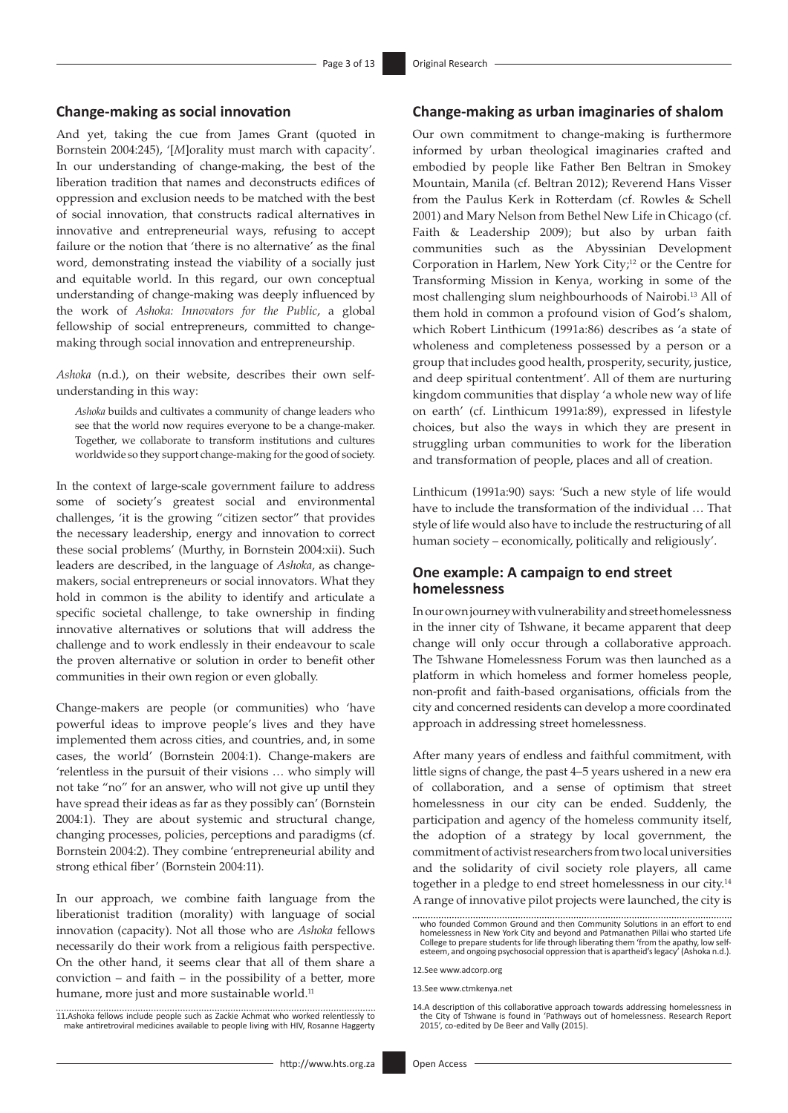#### **Change-making as social innovation**

And yet, taking the cue from James Grant (quoted in Bornstein 2004:245), '[*M*]orality must march with capacity'. In our understanding of change-making, the best of the liberation tradition that names and deconstructs edifices of oppression and exclusion needs to be matched with the best of social innovation, that constructs radical alternatives in innovative and entrepreneurial ways, refusing to accept failure or the notion that 'there is no alternative' as the final word, demonstrating instead the viability of a socially just and equitable world. In this regard, our own conceptual understanding of change-making was deeply influenced by the work of *Ashoka: Innovators for the Public*, a global fellowship of social entrepreneurs, committed to changemaking through social innovation and entrepreneurship.

*Ashoka* (n.d.), on their website, describes their own selfunderstanding in this way:

*Ashoka* builds and cultivates a community of change leaders who see that the world now requires everyone to be a change-maker. Together, we collaborate to transform institutions and cultures worldwide so they support change-making for the good of society.

In the context of large-scale government failure to address some of society's greatest social and environmental challenges, 'it is the growing "citizen sector" that provides the necessary leadership, energy and innovation to correct these social problems' (Murthy, in Bornstein 2004:xii). Such leaders are described, in the language of *Ashoka*, as changemakers, social entrepreneurs or social innovators. What they hold in common is the ability to identify and articulate a specific societal challenge, to take ownership in finding innovative alternatives or solutions that will address the challenge and to work endlessly in their endeavour to scale the proven alternative or solution in order to benefit other communities in their own region or even globally.

Change-makers are people (or communities) who 'have powerful ideas to improve people's lives and they have implemented them across cities, and countries, and, in some cases, the world' (Bornstein 2004:1). Change-makers are 'relentless in the pursuit of their visions … who simply will not take "no" for an answer, who will not give up until they have spread their ideas as far as they possibly can' (Bornstein 2004:1). They are about systemic and structural change, changing processes, policies, perceptions and paradigms (cf. Bornstein 2004:2). They combine 'entrepreneurial ability and strong ethical fiber' (Bornstein 2004:11).

In our approach, we combine faith language from the liberationist tradition (morality) with language of social innovation (capacity). Not all those who are *Ashoka* fellows necessarily do their work from a religious faith perspective. On the other hand, it seems clear that all of them share a conviction – and faith – in the possibility of a better, more humane, more just and more sustainable world.<sup>11</sup>

11.Ashoka fellows include people such as Zackie Achmat who worked relentlessly to make antiretroviral medicines available to people living with HIV, Rosanne Haggerty

#### **Change-making as urban imaginaries of shalom**

Our own commitment to change-making is furthermore informed by urban theological imaginaries crafted and embodied by people like Father Ben Beltran in Smokey Mountain, Manila (cf. Beltran 2012); Reverend Hans Visser from the Paulus Kerk in Rotterdam (cf. Rowles & Schell 2001) and Mary Nelson from Bethel New Life in Chicago (cf. Faith & Leadership 2009); but also by urban faith communities such as the Abyssinian Development Corporation in Harlem, New York City;<sup>12</sup> or the Centre for Transforming Mission in Kenya, working in some of the most challenging slum neighbourhoods of Nairobi.13 All of them hold in common a profound vision of God's shalom, which Robert Linthicum (1991a:86) describes as 'a state of wholeness and completeness possessed by a person or a group that includes good health, prosperity, security, justice, and deep spiritual contentment'. All of them are nurturing kingdom communities that display 'a whole new way of life on earth' (cf. Linthicum 1991a:89), expressed in lifestyle choices, but also the ways in which they are present in struggling urban communities to work for the liberation and transformation of people, places and all of creation.

Linthicum (1991a:90) says: 'Such a new style of life would have to include the transformation of the individual … That style of life would also have to include the restructuring of all human society – economically, politically and religiously'.

### **One example: A campaign to end street homelessness**

In our own journey with vulnerability and street homelessness in the inner city of Tshwane, it became apparent that deep change will only occur through a collaborative approach. The Tshwane Homelessness Forum was then launched as a platform in which homeless and former homeless people, non-profit and faith-based organisations, officials from the city and concerned residents can develop a more coordinated approach in addressing street homelessness.

After many years of endless and faithful commitment, with little signs of change, the past 4–5 years ushered in a new era of collaboration, and a sense of optimism that street homelessness in our city can be ended. Suddenly, the participation and agency of the homeless community itself, the adoption of a strategy by local government, the commitment of activist researchers from two local universities and the solidarity of civil society role players, all came together in a pledge to end street homelessness in our city.14 A range of innovative pilot projects were launched, the city is

12.See [www.adcorp.org](http://www.adcorp.org)

13.See [www.ctmkenya.net](http://www.ctmkenya.net)

www.common.common.common.common.common.common.common.common.common.common.common.common.common.common.common.common.common.common.common.common.common.common.common.common.common.common.common.common.common.common.common.c homelessness in New York City and beyond and Patmanathen Pillai who started Life College to prepare students for life through liberating them 'from the apathy, low selfesteem, and ongoing psychosocial oppression that is apartheid's legacy' (Ashoka n.d.).

<sup>14.</sup>A description of this collaborative approach towards addressing homelessness in the City of Tshwane is found in 'Pathways out of homelessness. Research Report 2015', co-edited by De Beer and Vally (2015).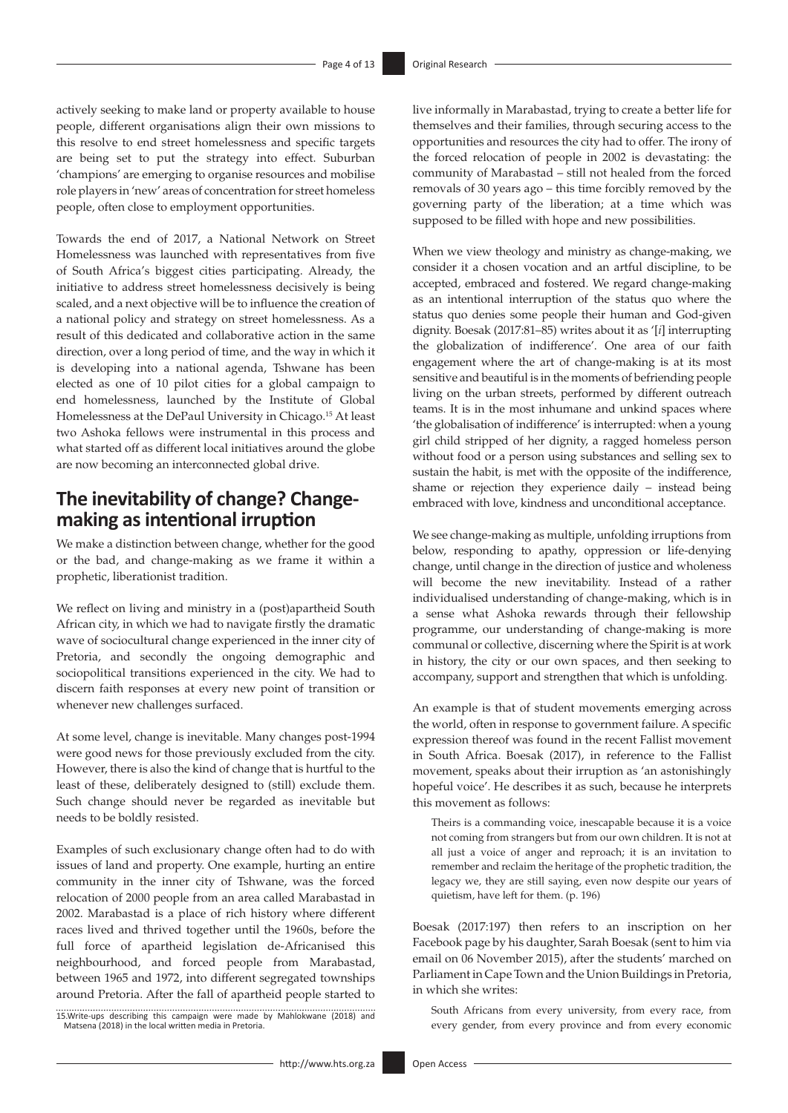actively seeking to make land or property available to house people, different organisations align their own missions to this resolve to end street homelessness and specific targets are being set to put the strategy into effect. Suburban 'champions' are emerging to organise resources and mobilise role players in 'new' areas of concentration for street homeless people, often close to employment opportunities.

Towards the end of 2017, a National Network on Street Homelessness was launched with representatives from five of South Africa's biggest cities participating. Already, the initiative to address street homelessness decisively is being scaled, and a next objective will be to influence the creation of a national policy and strategy on street homelessness. As a result of this dedicated and collaborative action in the same direction, over a long period of time, and the way in which it is developing into a national agenda, Tshwane has been elected as one of 10 pilot cities for a global campaign to end homelessness, launched by the Institute of Global Homelessness at the DePaul University in Chicago.15 At least two Ashoka fellows were instrumental in this process and what started off as different local initiatives around the globe are now becoming an interconnected global drive.

# **The inevitability of change? Changemaking as intentional irruption**

We make a distinction between change, whether for the good or the bad, and change-making as we frame it within a prophetic, liberationist tradition.

We reflect on living and ministry in a (post)apartheid South African city, in which we had to navigate firstly the dramatic wave of sociocultural change experienced in the inner city of Pretoria, and secondly the ongoing demographic and sociopolitical transitions experienced in the city. We had to discern faith responses at every new point of transition or whenever new challenges surfaced.

At some level, change is inevitable. Many changes post-1994 were good news for those previously excluded from the city. However, there is also the kind of change that is hurtful to the least of these, deliberately designed to (still) exclude them. Such change should never be regarded as inevitable but needs to be boldly resisted.

Examples of such exclusionary change often had to do with issues of land and property. One example, hurting an entire community in the inner city of Tshwane, was the forced relocation of 2000 people from an area called Marabastad in 2002. Marabastad is a place of rich history where different races lived and thrived together until the 1960s, before the full force of apartheid legislation de-Africanised this neighbourhood, and forced people from Marabastad, between 1965 and 1972, into different segregated townships around Pretoria. After the fall of apartheid people started to

15.Write-ups describing this campaign were made by Mahlokwane (2018) and Matsena (2018) in the local written media in Pretoria.

live informally in Marabastad, trying to create a better life for themselves and their families, through securing access to the opportunities and resources the city had to offer. The irony of the forced relocation of people in 2002 is devastating: the community of Marabastad – still not healed from the forced removals of 30 years ago – this time forcibly removed by the governing party of the liberation; at a time which was supposed to be filled with hope and new possibilities.

When we view theology and ministry as change-making, we consider it a chosen vocation and an artful discipline, to be accepted, embraced and fostered. We regard change-making as an intentional interruption of the status quo where the status quo denies some people their human and God-given dignity. Boesak (2017:81–85) writes about it as '[*i*] interrupting the globalization of indifference'. One area of our faith engagement where the art of change-making is at its most sensitive and beautiful is in the moments of befriending people living on the urban streets, performed by different outreach teams. It is in the most inhumane and unkind spaces where 'the globalisation of indifference' is interrupted: when a young girl child stripped of her dignity, a ragged homeless person without food or a person using substances and selling sex to sustain the habit, is met with the opposite of the indifference, shame or rejection they experience daily – instead being embraced with love, kindness and unconditional acceptance.

We see change-making as multiple, unfolding irruptions from below, responding to apathy, oppression or life-denying change, until change in the direction of justice and wholeness will become the new inevitability. Instead of a rather individualised understanding of change-making, which is in a sense what Ashoka rewards through their fellowship programme, our understanding of change-making is more communal or collective, discerning where the Spirit is at work in history, the city or our own spaces, and then seeking to accompany, support and strengthen that which is unfolding.

An example is that of student movements emerging across the world, often in response to government failure. A specific expression thereof was found in the recent Fallist movement in South Africa. Boesak (2017), in reference to the Fallist movement, speaks about their irruption as 'an astonishingly hopeful voice'. He describes it as such, because he interprets this movement as follows:

Theirs is a commanding voice, inescapable because it is a voice not coming from strangers but from our own children. It is not at all just a voice of anger and reproach; it is an invitation to remember and reclaim the heritage of the prophetic tradition, the legacy we, they are still saying, even now despite our years of quietism, have left for them. (p. 196)

Boesak (2017:197) then refers to an inscription on her Facebook page by his daughter, Sarah Boesak (sent to him via email on 06 November 2015), after the students' marched on Parliament in Cape Town and the Union Buildings in Pretoria, in which she writes:

South Africans from every university, from every race, from every gender, from every province and from every economic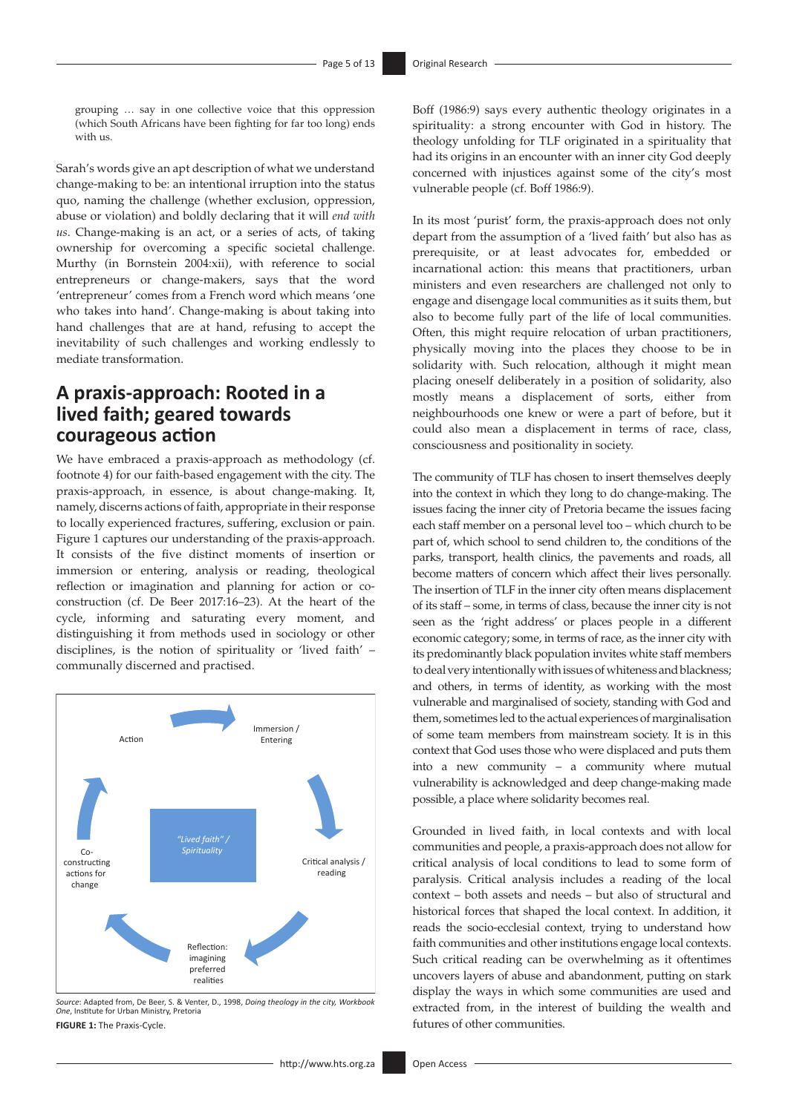grouping … say in one collective voice that this oppression (which South Africans have been fighting for far too long) ends with us.

Sarah's words give an apt description of what we understand change-making to be: an intentional irruption into the status quo, naming the challenge (whether exclusion, oppression, abuse or violation) and boldly declaring that it will *end with us*. Change-making is an act, or a series of acts, of taking ownership for overcoming a specific societal challenge. Murthy (in Bornstein 2004:xii), with reference to social entrepreneurs or change-makers, says that the word 'entrepreneur' comes from a French word which means 'one who takes into hand'. Change-making is about taking into hand challenges that are at hand, refusing to accept the inevitability of such challenges and working endlessly to mediate transformation.

### **A praxis-approach: Rooted in a lived faith; geared towards courageous action**

We have embraced a praxis-approach as methodology (cf. footnote 4) for our faith-based engagement with the city. The praxis-approach, in essence, is about change-making. It, namely, discerns actions of faith, appropriate in their response to locally experienced fractures, suffering, exclusion or pain. Figure 1 captures our understanding of the praxis-approach. It consists of the five distinct moments of insertion or immersion or entering, analysis or reading, theological reflection or imagination and planning for action or coconstruction (cf. De Beer 2017:16–23). At the heart of the cycle, informing and saturating every moment, and distinguishing it from methods used in sociology or other disciplines, is the notion of spirituality or 'lived faith' – communally discerned and practised.



*Source*: Adapted from, De Beer, S. & Venter, D., 1998, *Doing theology in the city, Workbook One*, Institute for Urban Ministry, Pretoria **FIGURE 1:** The Praxis-Cycle.

Boff (1986:9) says every authentic theology originates in a spirituality: a strong encounter with God in history. The theology unfolding for TLF originated in a spirituality that had its origins in an encounter with an inner city God deeply concerned with injustices against some of the city's most vulnerable people (cf. Boff 1986:9).

In its most 'purist' form, the praxis-approach does not only depart from the assumption of a 'lived faith' but also has as prerequisite, or at least advocates for, embedded or incarnational action: this means that practitioners, urban ministers and even researchers are challenged not only to engage and disengage local communities as it suits them, but also to become fully part of the life of local communities. Often, this might require relocation of urban practitioners, physically moving into the places they choose to be in solidarity with. Such relocation, although it might mean placing oneself deliberately in a position of solidarity, also mostly means a displacement of sorts, either from neighbourhoods one knew or were a part of before, but it could also mean a displacement in terms of race, class, consciousness and positionality in society.

The community of TLF has chosen to insert themselves deeply into the context in which they long to do change-making. The issues facing the inner city of Pretoria became the issues facing each staff member on a personal level too – which church to be part of, which school to send children to, the conditions of the parks, transport, health clinics, the pavements and roads, all become matters of concern which affect their lives personally. The insertion of TLF in the inner city often means displacement of its staff – some, in terms of class, because the inner city is not seen as the 'right address' or places people in a different economic category; some, in terms of race, as the inner city with its predominantly black population invites white staff members to deal very intentionally with issues of whiteness and blackness; and others, in terms of identity, as working with the most vulnerable and marginalised of society, standing with God and them, sometimes led to the actual experiences of marginalisation of some team members from mainstream society. It is in this context that God uses those who were displaced and puts them into a new community – a community where mutual vulnerability is acknowledged and deep change-making made possible, a place where solidarity becomes real.

Grounded in lived faith, in local contexts and with local communities and people, a praxis-approach does not allow for critical analysis of local conditions to lead to some form of paralysis. Critical analysis includes a reading of the local context – both assets and needs – but also of structural and historical forces that shaped the local context. In addition, it reads the socio-ecclesial context, trying to understand how faith communities and other institutions engage local contexts. Such critical reading can be overwhelming as it oftentimes uncovers layers of abuse and abandonment, putting on stark display the ways in which some communities are used and extracted from, in the interest of building the wealth and futures of other communities.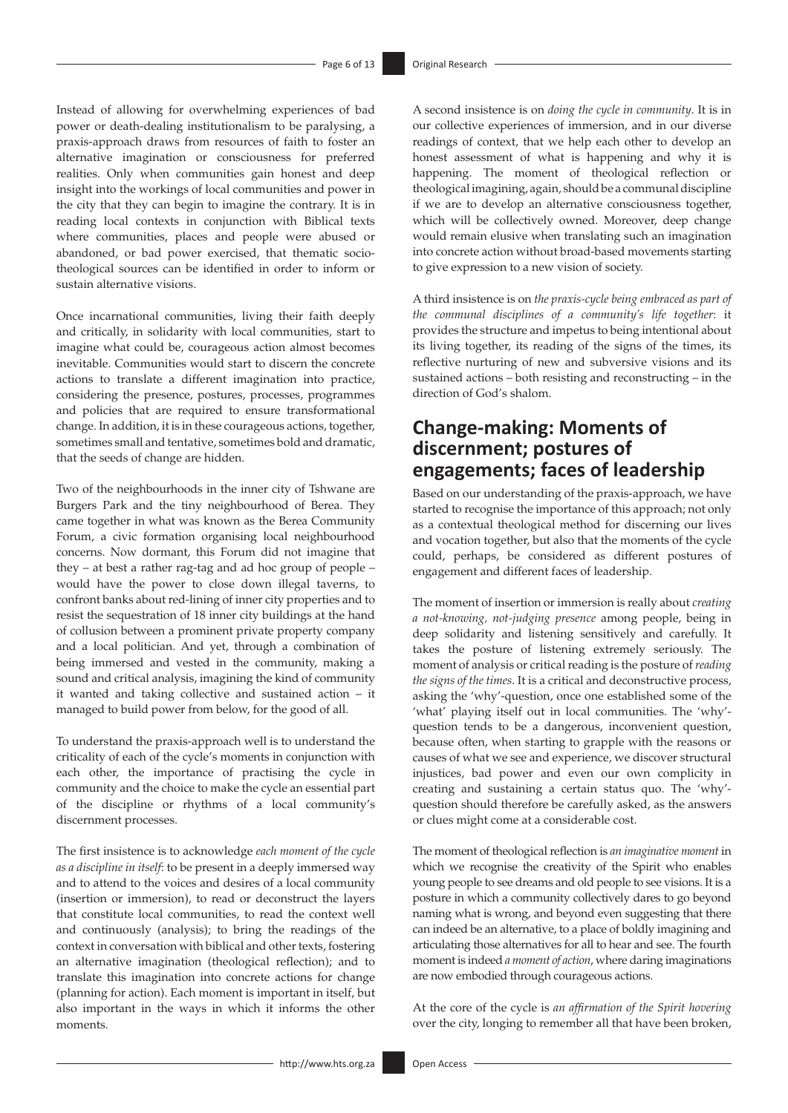Instead of allowing for overwhelming experiences of bad power or death-dealing institutionalism to be paralysing, a praxis-approach draws from resources of faith to foster an alternative imagination or consciousness for preferred realities. Only when communities gain honest and deep insight into the workings of local communities and power in the city that they can begin to imagine the contrary. It is in reading local contexts in conjunction with Biblical texts where communities, places and people were abused or abandoned, or bad power exercised, that thematic sociotheological sources can be identified in order to inform or sustain alternative visions.

Once incarnational communities, living their faith deeply and critically, in solidarity with local communities, start to imagine what could be, courageous action almost becomes inevitable. Communities would start to discern the concrete actions to translate a different imagination into practice, considering the presence, postures, processes, programmes and policies that are required to ensure transformational change. In addition, it is in these courageous actions, together, sometimes small and tentative, sometimes bold and dramatic, that the seeds of change are hidden.

Two of the neighbourhoods in the inner city of Tshwane are Burgers Park and the tiny neighbourhood of Berea. They came together in what was known as the Berea Community Forum, a civic formation organising local neighbourhood concerns. Now dormant, this Forum did not imagine that they – at best a rather rag-tag and ad hoc group of people – would have the power to close down illegal taverns, to confront banks about red-lining of inner city properties and to resist the sequestration of 18 inner city buildings at the hand of collusion between a prominent private property company and a local politician. And yet, through a combination of being immersed and vested in the community, making a sound and critical analysis, imagining the kind of community it wanted and taking collective and sustained action – it managed to build power from below, for the good of all.

To understand the praxis-approach well is to understand the criticality of each of the cycle's moments in conjunction with each other, the importance of practising the cycle in community and the choice to make the cycle an essential part of the discipline or rhythms of a local community's discernment processes.

The first insistence is to acknowledge *each moment of the cycle as a discipline in itself*: to be present in a deeply immersed way and to attend to the voices and desires of a local community (insertion or immersion), to read or deconstruct the layers that constitute local communities, to read the context well and continuously (analysis); to bring the readings of the context in conversation with biblical and other texts, fostering an alternative imagination (theological reflection); and to translate this imagination into concrete actions for change (planning for action). Each moment is important in itself, but also important in the ways in which it informs the other moments.

A second insistence is on *doing the cycle in community*. It is in our collective experiences of immersion, and in our diverse readings of context, that we help each other to develop an honest assessment of what is happening and why it is happening. The moment of theological reflection or theological imagining, again, should be a communal discipline if we are to develop an alternative consciousness together, which will be collectively owned. Moreover, deep change would remain elusive when translating such an imagination into concrete action without broad-based movements starting to give expression to a new vision of society.

A third insistence is on *the praxis-cycle being embraced as part of the communal disciplines of a community's life together*: it provides the structure and impetus to being intentional about its living together, its reading of the signs of the times, its reflective nurturing of new and subversive visions and its sustained actions – both resisting and reconstructing – in the direction of God's shalom.

# **Change-making: Moments of discernment; postures of engagements; faces of leadership**

Based on our understanding of the praxis-approach, we have started to recognise the importance of this approach; not only as a contextual theological method for discerning our lives and vocation together, but also that the moments of the cycle could, perhaps, be considered as different postures of engagement and different faces of leadership.

The moment of insertion or immersion is really about *creating a not-knowing, not-judging presence* among people, being in deep solidarity and listening sensitively and carefully. It takes the posture of listening extremely seriously. The moment of analysis or critical reading is the posture of *reading the signs of the times*. It is a critical and deconstructive process, asking the 'why'-question, once one established some of the 'what' playing itself out in local communities. The 'why' question tends to be a dangerous, inconvenient question, because often, when starting to grapple with the reasons or causes of what we see and experience, we discover structural injustices, bad power and even our own complicity in creating and sustaining a certain status quo. The 'why' question should therefore be carefully asked, as the answers or clues might come at a considerable cost.

The moment of theological reflection is *an imaginative moment* in which we recognise the creativity of the Spirit who enables young people to see dreams and old people to see visions. It is a posture in which a community collectively dares to go beyond naming what is wrong, and beyond even suggesting that there can indeed be an alternative, to a place of boldly imagining and articulating those alternatives for all to hear and see. The fourth moment is indeed *a moment of action*, where daring imaginations are now embodied through courageous actions.

At the core of the cycle is *an affirmation of the Spirit hovering* over the city, longing to remember all that have been broken,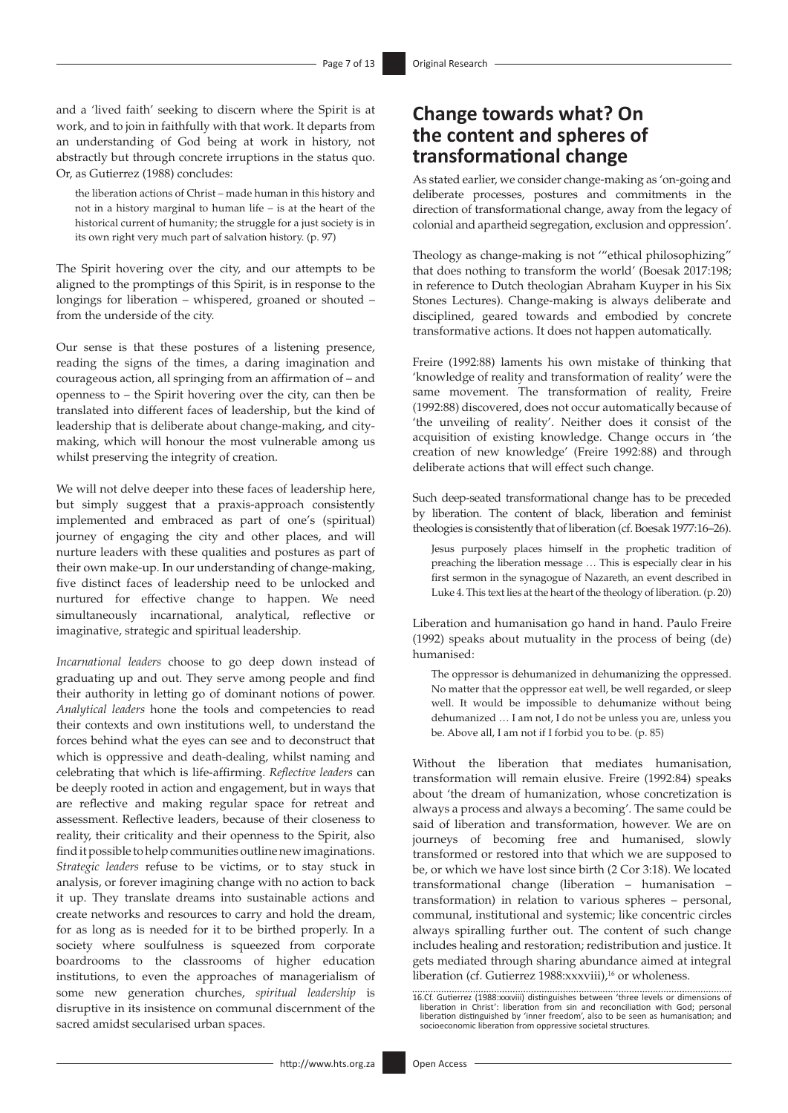and a 'lived faith' seeking to discern where the Spirit is at work, and to join in faithfully with that work. It departs from an understanding of God being at work in history, not abstractly but through concrete irruptions in the status quo. Or, as Gutierrez (1988) concludes:

the liberation actions of Christ – made human in this history and not in a history marginal to human life – is at the heart of the historical current of humanity; the struggle for a just society is in its own right very much part of salvation history. (p. 97)

The Spirit hovering over the city, and our attempts to be aligned to the promptings of this Spirit, is in response to the longings for liberation – whispered, groaned or shouted – from the underside of the city.

Our sense is that these postures of a listening presence, reading the signs of the times, a daring imagination and courageous action, all springing from an affirmation of – and openness to – the Spirit hovering over the city, can then be translated into different faces of leadership, but the kind of leadership that is deliberate about change-making, and citymaking, which will honour the most vulnerable among us whilst preserving the integrity of creation.

We will not delve deeper into these faces of leadership here, but simply suggest that a praxis-approach consistently implemented and embraced as part of one's (spiritual) journey of engaging the city and other places, and will nurture leaders with these qualities and postures as part of their own make-up. In our understanding of change-making, five distinct faces of leadership need to be unlocked and nurtured for effective change to happen. We need simultaneously incarnational, analytical, reflective or imaginative, strategic and spiritual leadership.

*Incarnational leaders* choose to go deep down instead of graduating up and out. They serve among people and find their authority in letting go of dominant notions of power. *Analytical leaders* hone the tools and competencies to read their contexts and own institutions well, to understand the forces behind what the eyes can see and to deconstruct that which is oppressive and death-dealing, whilst naming and celebrating that which is life-affirming. *Reflective leaders* can be deeply rooted in action and engagement, but in ways that are reflective and making regular space for retreat and assessment. Reflective leaders, because of their closeness to reality, their criticality and their openness to the Spirit, also find it possible to help communities outline new imaginations. *Strategic leaders* refuse to be victims, or to stay stuck in analysis, or forever imagining change with no action to back it up. They translate dreams into sustainable actions and create networks and resources to carry and hold the dream, for as long as is needed for it to be birthed properly. In a society where soulfulness is squeezed from corporate boardrooms to the classrooms of higher education institutions, to even the approaches of managerialism of some new generation churches, *spiritual leadership* is disruptive in its insistence on communal discernment of the sacred amidst secularised urban spaces.

# **Change towards what? On the content and spheres of transformational change**

As stated earlier, we consider change-making as 'on-going and deliberate processes, postures and commitments in the direction of transformational change, away from the legacy of colonial and apartheid segregation, exclusion and oppression'.

Theology as change-making is not '"ethical philosophizing" that does nothing to transform the world' (Boesak 2017:198; in reference to Dutch theologian Abraham Kuyper in his Six Stones Lectures). Change-making is always deliberate and disciplined, geared towards and embodied by concrete transformative actions. It does not happen automatically.

Freire (1992:88) laments his own mistake of thinking that 'knowledge of reality and transformation of reality' were the same movement. The transformation of reality, Freire (1992:88) discovered, does not occur automatically because of 'the unveiling of reality'. Neither does it consist of the acquisition of existing knowledge. Change occurs in 'the creation of new knowledge' (Freire 1992:88) and through deliberate actions that will effect such change.

Such deep-seated transformational change has to be preceded by liberation. The content of black, liberation and feminist theologies is consistently that of liberation (cf. Boesak 1977:16–26).

Jesus purposely places himself in the prophetic tradition of preaching the liberation message … This is especially clear in his first sermon in the synagogue of Nazareth, an event described in Luke 4. This text lies at the heart of the theology of liberation. (p. 20)

Liberation and humanisation go hand in hand. Paulo Freire (1992) speaks about mutuality in the process of being (de) humanised:

The oppressor is dehumanized in dehumanizing the oppressed. No matter that the oppressor eat well, be well regarded, or sleep well. It would be impossible to dehumanize without being dehumanized … I am not, I do not be unless you are, unless you be. Above all, I am not if I forbid you to be. (p. 85)

Without the liberation that mediates humanisation, transformation will remain elusive. Freire (1992:84) speaks about 'the dream of humanization, whose concretization is always a process and always a becoming'. The same could be said of liberation and transformation, however. We are on journeys of becoming free and humanised, slowly transformed or restored into that which we are supposed to be, or which we have lost since birth (2 Cor 3:18). We located transformational change (liberation – humanisation – transformation) in relation to various spheres – personal, communal, institutional and systemic; like concentric circles always spiralling further out. The content of such change includes healing and restoration; redistribution and justice. It gets mediated through sharing abundance aimed at integral liberation (cf. Gutierrez 1988:xxxviii),<sup>16</sup> or wholeness.

<sup>16.</sup>Cf. Gutierrez (1988: xxxviii) distinguishes between 'three levels or dimensions of liberation in Christ': liberation from sin and reconciliation with God; personal liberation distinguished by 'inner freedom', also to be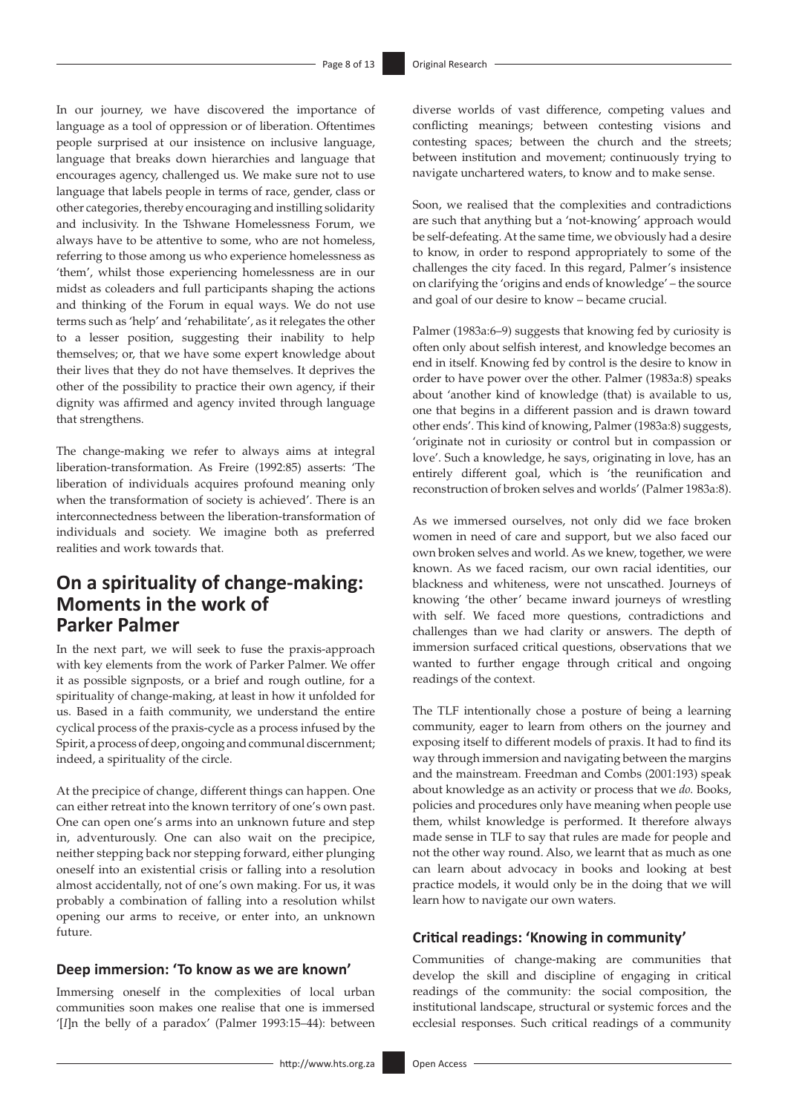In our journey, we have discovered the importance of language as a tool of oppression or of liberation. Oftentimes people surprised at our insistence on inclusive language, language that breaks down hierarchies and language that encourages agency, challenged us. We make sure not to use language that labels people in terms of race, gender, class or other categories, thereby encouraging and instilling solidarity and inclusivity. In the Tshwane Homelessness Forum, we always have to be attentive to some, who are not homeless, referring to those among us who experience homelessness as 'them', whilst those experiencing homelessness are in our midst as coleaders and full participants shaping the actions and thinking of the Forum in equal ways. We do not use terms such as 'help' and 'rehabilitate', as it relegates the other to a lesser position, suggesting their inability to help themselves; or, that we have some expert knowledge about their lives that they do not have themselves. It deprives the other of the possibility to practice their own agency, if their dignity was affirmed and agency invited through language that strengthens.

The change-making we refer to always aims at integral liberation-transformation. As Freire (1992:85) asserts: 'The liberation of individuals acquires profound meaning only when the transformation of society is achieved'. There is an interconnectedness between the liberation-transformation of individuals and society. We imagine both as preferred realities and work towards that.

# **On a spirituality of change-making: Moments in the work of Parker Palmer**

In the next part, we will seek to fuse the praxis-approach with key elements from the work of Parker Palmer. We offer it as possible signposts, or a brief and rough outline, for a spirituality of change-making, at least in how it unfolded for us. Based in a faith community, we understand the entire cyclical process of the praxis-cycle as a process infused by the Spirit, a process of deep, ongoing and communal discernment; indeed, a spirituality of the circle.

At the precipice of change, different things can happen. One can either retreat into the known territory of one's own past. One can open one's arms into an unknown future and step in, adventurously. One can also wait on the precipice, neither stepping back nor stepping forward, either plunging oneself into an existential crisis or falling into a resolution almost accidentally, not of one's own making. For us, it was probably a combination of falling into a resolution whilst opening our arms to receive, or enter into, an unknown future.

#### **Deep immersion: 'To know as we are known'**

Immersing oneself in the complexities of local urban communities soon makes one realise that one is immersed '[*I*]n the belly of a paradox' (Palmer 1993:15–44): between diverse worlds of vast difference, competing values and conflicting meanings; between contesting visions and contesting spaces; between the church and the streets; between institution and movement; continuously trying to navigate unchartered waters, to know and to make sense.

Soon, we realised that the complexities and contradictions are such that anything but a 'not-knowing' approach would be self-defeating. At the same time, we obviously had a desire to know, in order to respond appropriately to some of the challenges the city faced. In this regard, Palmer's insistence on clarifying the 'origins and ends of knowledge' – the source and goal of our desire to know – became crucial.

Palmer (1983a:6–9) suggests that knowing fed by curiosity is often only about selfish interest, and knowledge becomes an end in itself. Knowing fed by control is the desire to know in order to have power over the other. Palmer (1983a:8) speaks about 'another kind of knowledge (that) is available to us, one that begins in a different passion and is drawn toward other ends'. This kind of knowing, Palmer (1983a:8) suggests, 'originate not in curiosity or control but in compassion or love'. Such a knowledge, he says, originating in love, has an entirely different goal, which is 'the reunification and reconstruction of broken selves and worlds' (Palmer 1983a:8).

As we immersed ourselves, not only did we face broken women in need of care and support, but we also faced our own broken selves and world. As we knew, together, we were known. As we faced racism, our own racial identities, our blackness and whiteness, were not unscathed. Journeys of knowing 'the other' became inward journeys of wrestling with self. We faced more questions, contradictions and challenges than we had clarity or answers. The depth of immersion surfaced critical questions, observations that we wanted to further engage through critical and ongoing readings of the context.

The TLF intentionally chose a posture of being a learning community, eager to learn from others on the journey and exposing itself to different models of praxis. It had to find its way through immersion and navigating between the margins and the mainstream. Freedman and Combs (2001:193) speak about knowledge as an activity or process that we *do.* Books, policies and procedures only have meaning when people use them, whilst knowledge is performed. It therefore always made sense in TLF to say that rules are made for people and not the other way round. Also, we learnt that as much as one can learn about advocacy in books and looking at best practice models, it would only be in the doing that we will learn how to navigate our own waters.

### **Critical readings: 'Knowing in community'**

Communities of change-making are communities that develop the skill and discipline of engaging in critical readings of the community: the social composition, the institutional landscape, structural or systemic forces and the ecclesial responses. Such critical readings of a community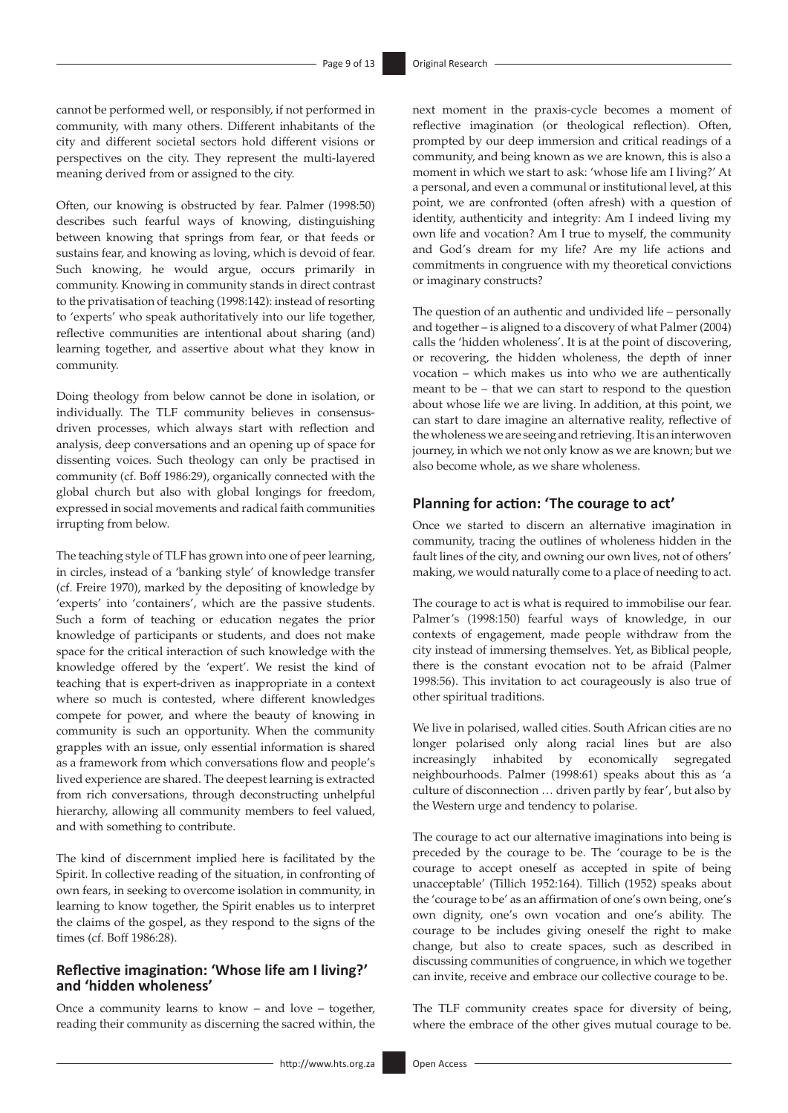cannot be performed well, or responsibly, if not performed in community, with many others. Different inhabitants of the city and different societal sectors hold different visions or perspectives on the city. They represent the multi-layered meaning derived from or assigned to the city.

Often, our knowing is obstructed by fear. Palmer (1998:50) describes such fearful ways of knowing, distinguishing between knowing that springs from fear, or that feeds or sustains fear, and knowing as loving, which is devoid of fear. Such knowing, he would argue, occurs primarily in community. Knowing in community stands in direct contrast to the privatisation of teaching (1998:142): instead of resorting to 'experts' who speak authoritatively into our life together, reflective communities are intentional about sharing (and) learning together, and assertive about what they know in community.

Doing theology from below cannot be done in isolation, or individually. The TLF community believes in consensusdriven processes, which always start with reflection and analysis, deep conversations and an opening up of space for dissenting voices. Such theology can only be practised in community (cf. Boff 1986:29), organically connected with the global church but also with global longings for freedom, expressed in social movements and radical faith communities irrupting from below.

The teaching style of TLF has grown into one of peer learning, in circles, instead of a 'banking style' of knowledge transfer (cf. Freire 1970), marked by the depositing of knowledge by 'experts' into 'containers', which are the passive students. Such a form of teaching or education negates the prior knowledge of participants or students, and does not make space for the critical interaction of such knowledge with the knowledge offered by the 'expert'. We resist the kind of teaching that is expert-driven as inappropriate in a context where so much is contested, where different knowledges compete for power, and where the beauty of knowing in community is such an opportunity. When the community grapples with an issue, only essential information is shared as a framework from which conversations flow and people's lived experience are shared. The deepest learning is extracted from rich conversations, through deconstructing unhelpful hierarchy, allowing all community members to feel valued, and with something to contribute.

The kind of discernment implied here is facilitated by the Spirit. In collective reading of the situation, in confronting of own fears, in seeking to overcome isolation in community, in learning to know together, the Spirit enables us to interpret the claims of the gospel, as they respond to the signs of the times (cf. Boff 1986:28).

### **Reflective imagination: 'Whose life am I living?' and 'hidden wholeness'**

Once a community learns to know – and love – together, reading their community as discerning the sacred within, the next moment in the praxis-cycle becomes a moment of reflective imagination (or theological reflection). Often, prompted by our deep immersion and critical readings of a community, and being known as we are known, this is also a moment in which we start to ask: 'whose life am I living?' At a personal, and even a communal or institutional level, at this point, we are confronted (often afresh) with a question of identity, authenticity and integrity: Am I indeed living my own life and vocation? Am I true to myself, the community and God's dream for my life? Are my life actions and commitments in congruence with my theoretical convictions or imaginary constructs?

The question of an authentic and undivided life – personally and together – is aligned to a discovery of what Palmer (2004) calls the 'hidden wholeness'. It is at the point of discovering, or recovering, the hidden wholeness, the depth of inner vocation – which makes us into who we are authentically meant to be – that we can start to respond to the question about whose life we are living. In addition, at this point, we can start to dare imagine an alternative reality, reflective of the wholeness we are seeing and retrieving. It is an interwoven journey, in which we not only know as we are known; but we also become whole, as we share wholeness.

### **Planning for action: 'The courage to act'**

Once we started to discern an alternative imagination in community, tracing the outlines of wholeness hidden in the fault lines of the city, and owning our own lives, not of others' making, we would naturally come to a place of needing to act.

The courage to act is what is required to immobilise our fear. Palmer's (1998:150) fearful ways of knowledge, in our contexts of engagement, made people withdraw from the city instead of immersing themselves. Yet, as Biblical people, there is the constant evocation not to be afraid (Palmer 1998:56). This invitation to act courageously is also true of other spiritual traditions.

We live in polarised, walled cities. South African cities are no longer polarised only along racial lines but are also increasingly inhabited by economically segregated neighbourhoods. Palmer (1998:61) speaks about this as 'a culture of disconnection … driven partly by fear', but also by the Western urge and tendency to polarise.

The courage to act our alternative imaginations into being is preceded by the courage to be. The 'courage to be is the courage to accept oneself as accepted in spite of being unacceptable' (Tillich 1952:164). Tillich (1952) speaks about the 'courage to be' as an affirmation of one's own being, one's own dignity, one's own vocation and one's ability. The courage to be includes giving oneself the right to make change, but also to create spaces, such as described in discussing communities of congruence, in which we together can invite, receive and embrace our collective courage to be.

The TLF community creates space for diversity of being, where the embrace of the other gives mutual courage to be.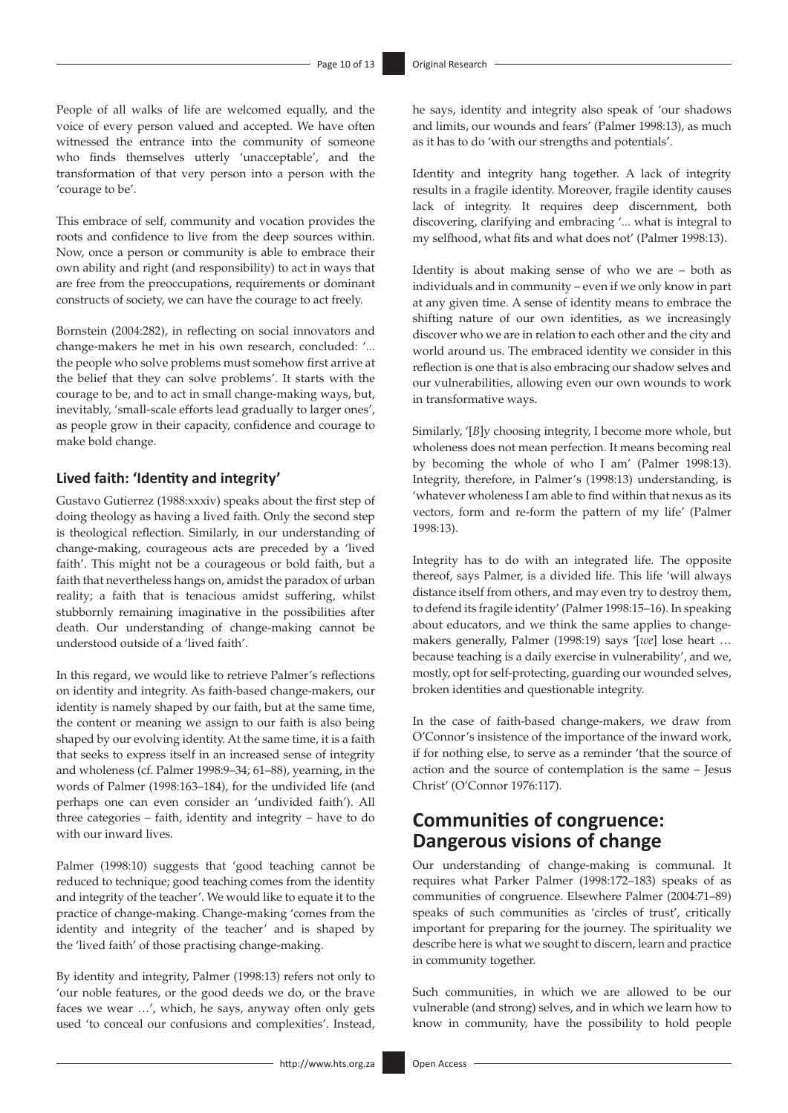People of all walks of life are welcomed equally, and the voice of every person valued and accepted. We have often witnessed the entrance into the community of someone who finds themselves utterly 'unacceptable', and the transformation of that very person into a person with the 'courage to be'.

This embrace of self, community and vocation provides the roots and confidence to live from the deep sources within. Now, once a person or community is able to embrace their own ability and right (and responsibility) to act in ways that are free from the preoccupations, requirements or dominant constructs of society, we can have the courage to act freely.

Bornstein (2004:282), in reflecting on social innovators and change-makers he met in his own research, concluded: '... the people who solve problems must somehow first arrive at the belief that they can solve problems'. It starts with the courage to be, and to act in small change-making ways, but, inevitably, 'small-scale efforts lead gradually to larger ones', as people grow in their capacity, confidence and courage to make bold change.

### **Lived faith: 'Identity and integrity'**

Gustavo Gutierrez (1988:xxxiv) speaks about the first step of doing theology as having a lived faith. Only the second step is theological reflection. Similarly, in our understanding of change-making, courageous acts are preceded by a 'lived faith'. This might not be a courageous or bold faith, but a faith that nevertheless hangs on, amidst the paradox of urban reality; a faith that is tenacious amidst suffering, whilst stubbornly remaining imaginative in the possibilities after death. Our understanding of change-making cannot be understood outside of a 'lived faith'.

In this regard, we would like to retrieve Palmer's reflections on identity and integrity. As faith-based change-makers, our identity is namely shaped by our faith, but at the same time, the content or meaning we assign to our faith is also being shaped by our evolving identity. At the same time, it is a faith that seeks to express itself in an increased sense of integrity and wholeness (cf. Palmer 1998:9–34; 61–88), yearning, in the words of Palmer (1998:163–184), for the undivided life (and perhaps one can even consider an 'undivided faith'). All three categories – faith, identity and integrity – have to do with our inward lives.

Palmer (1998:10) suggests that 'good teaching cannot be reduced to technique; good teaching comes from the identity and integrity of the teacher'. We would like to equate it to the practice of change-making. Change-making 'comes from the identity and integrity of the teacher' and is shaped by the 'lived faith' of those practising change-making.

By identity and integrity, Palmer (1998:13) refers not only to 'our noble features, or the good deeds we do, or the brave faces we wear …', which, he says, anyway often only gets used 'to conceal our confusions and complexities'. Instead,

he says, identity and integrity also speak of 'our shadows and limits, our wounds and fears' (Palmer 1998:13), as much as it has to do 'with our strengths and potentials'.

Identity and integrity hang together. A lack of integrity results in a fragile identity. Moreover, fragile identity causes lack of integrity. It requires deep discernment, both discovering, clarifying and embracing '... what is integral to my selfhood, what fits and what does not' (Palmer 1998:13).

Identity is about making sense of who we are – both as individuals and in community – even if we only know in part at any given time. A sense of identity means to embrace the shifting nature of our own identities, as we increasingly discover who we are in relation to each other and the city and world around us. The embraced identity we consider in this reflection is one that is also embracing our shadow selves and our vulnerabilities, allowing even our own wounds to work in transformative ways.

Similarly, '[*B*]y choosing integrity, I become more whole, but wholeness does not mean perfection. It means becoming real by becoming the whole of who I am' (Palmer 1998:13). Integrity, therefore, in Palmer's (1998:13) understanding, is 'whatever wholeness I am able to find within that nexus as its vectors, form and re-form the pattern of my life' (Palmer 1998:13).

Integrity has to do with an integrated life. The opposite thereof, says Palmer, is a divided life. This life 'will always distance itself from others, and may even try to destroy them, to defend its fragile identity' (Palmer 1998:15–16). In speaking about educators, and we think the same applies to changemakers generally, Palmer (1998:19) says '[*we*] lose heart … because teaching is a daily exercise in vulnerability', and we, mostly, opt for self-protecting, guarding our wounded selves, broken identities and questionable integrity.

In the case of faith-based change-makers, we draw from O'Connor's insistence of the importance of the inward work, if for nothing else, to serve as a reminder 'that the source of action and the source of contemplation is the same – Jesus Christ' (O'Connor 1976:117).

# **Communities of congruence: Dangerous visions of change**

Our understanding of change-making is communal. It requires what Parker Palmer (1998:172–183) speaks of as communities of congruence. Elsewhere Palmer (2004:71–89) speaks of such communities as 'circles of trust', critically important for preparing for the journey. The spirituality we describe here is what we sought to discern, learn and practice in community together.

Such communities, in which we are allowed to be our vulnerable (and strong) selves, and in which we learn how to know in community, have the possibility to hold people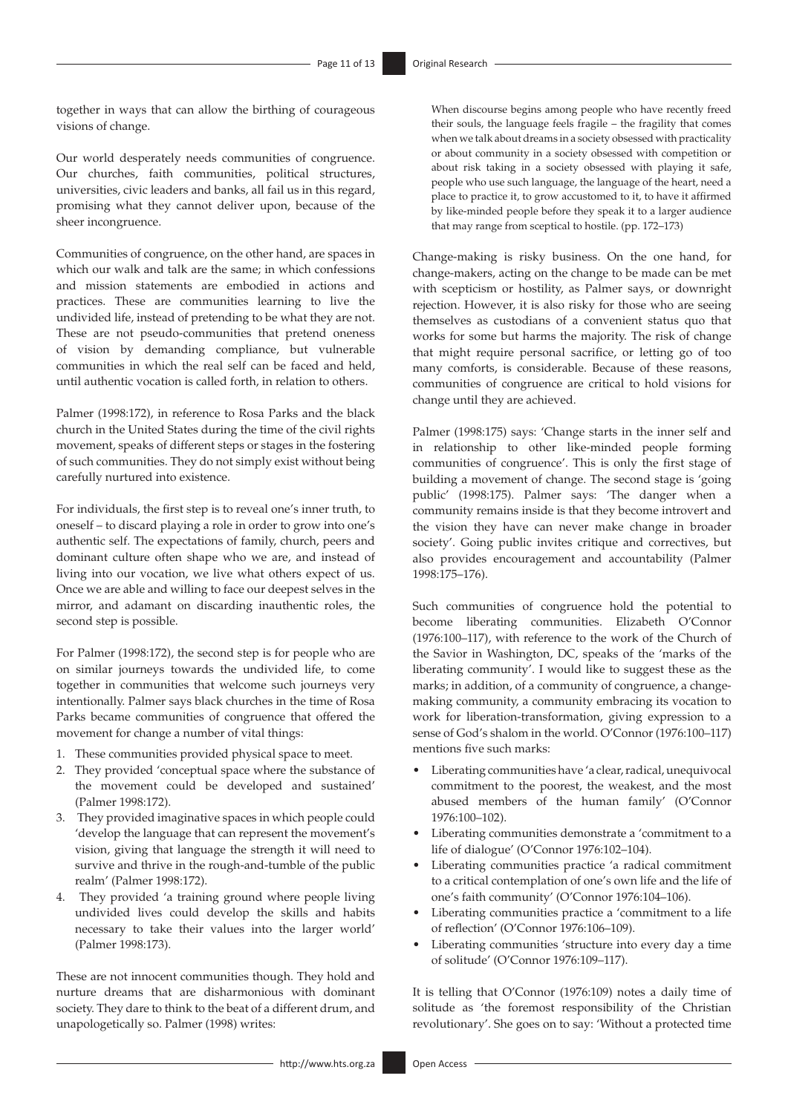together in ways that can allow the birthing of courageous visions of change.

Our world desperately needs communities of congruence. Our churches, faith communities, political structures, universities, civic leaders and banks, all fail us in this regard, promising what they cannot deliver upon, because of the sheer incongruence.

Communities of congruence, on the other hand, are spaces in which our walk and talk are the same; in which confessions and mission statements are embodied in actions and practices. These are communities learning to live the undivided life, instead of pretending to be what they are not. These are not pseudo-communities that pretend oneness of vision by demanding compliance, but vulnerable communities in which the real self can be faced and held, until authentic vocation is called forth, in relation to others.

Palmer (1998:172), in reference to Rosa Parks and the black church in the United States during the time of the civil rights movement, speaks of different steps or stages in the fostering of such communities. They do not simply exist without being carefully nurtured into existence.

For individuals, the first step is to reveal one's inner truth, to oneself – to discard playing a role in order to grow into one's authentic self. The expectations of family, church, peers and dominant culture often shape who we are, and instead of living into our vocation, we live what others expect of us. Once we are able and willing to face our deepest selves in the mirror, and adamant on discarding inauthentic roles, the second step is possible.

For Palmer (1998:172), the second step is for people who are on similar journeys towards the undivided life, to come together in communities that welcome such journeys very intentionally. Palmer says black churches in the time of Rosa Parks became communities of congruence that offered the movement for change a number of vital things:

- 1. These communities provided physical space to meet.
- 2. They provided 'conceptual space where the substance of the movement could be developed and sustained' (Palmer 1998:172).
- 3. They provided imaginative spaces in which people could 'develop the language that can represent the movement's vision, giving that language the strength it will need to survive and thrive in the rough-and-tumble of the public realm' (Palmer 1998:172).
- 4. They provided 'a training ground where people living undivided lives could develop the skills and habits necessary to take their values into the larger world' (Palmer 1998:173).

These are not innocent communities though. They hold and nurture dreams that are disharmonious with dominant society. They dare to think to the beat of a different drum, and unapologetically so. Palmer (1998) writes:

When discourse begins among people who have recently freed their souls, the language feels fragile – the fragility that comes when we talk about dreams in a society obsessed with practicality or about community in a society obsessed with competition or about risk taking in a society obsessed with playing it safe, people who use such language, the language of the heart, need a place to practice it, to grow accustomed to it, to have it affirmed by like-minded people before they speak it to a larger audience that may range from sceptical to hostile. (pp. 172–173)

Change-making is risky business. On the one hand, for change-makers, acting on the change to be made can be met with scepticism or hostility, as Palmer says, or downright rejection. However, it is also risky for those who are seeing themselves as custodians of a convenient status quo that works for some but harms the majority. The risk of change that might require personal sacrifice, or letting go of too many comforts, is considerable. Because of these reasons, communities of congruence are critical to hold visions for change until they are achieved.

Palmer (1998:175) says: 'Change starts in the inner self and in relationship to other like-minded people forming communities of congruence'. This is only the first stage of building a movement of change. The second stage is 'going public' (1998:175). Palmer says: 'The danger when a community remains inside is that they become introvert and the vision they have can never make change in broader society'. Going public invites critique and correctives, but also provides encouragement and accountability (Palmer 1998:175–176).

Such communities of congruence hold the potential to become liberating communities. Elizabeth O'Connor (1976:100–117), with reference to the work of the Church of the Savior in Washington, DC, speaks of the 'marks of the liberating community'. I would like to suggest these as the marks; in addition, of a community of congruence, a changemaking community, a community embracing its vocation to work for liberation-transformation, giving expression to a sense of God's shalom in the world. O'Connor (1976:100–117) mentions five such marks:

- Liberating communities have 'a clear, radical, unequivocal commitment to the poorest, the weakest, and the most abused members of the human family' (O'Connor 1976:100–102).
- • Liberating communities demonstrate a 'commitment to a life of dialogue' (O'Connor 1976:102–104).
- • Liberating communities practice 'a radical commitment to a critical contemplation of one's own life and the life of one's faith community' (O'Connor 1976:104–106).
- Liberating communities practice a 'commitment to a life of reflection' (O'Connor 1976:106–109).
- Liberating communities 'structure into every day a time of solitude' (O'Connor 1976:109–117).

It is telling that O'Connor (1976:109) notes a daily time of solitude as 'the foremost responsibility of the Christian revolutionary'. She goes on to say: 'Without a protected time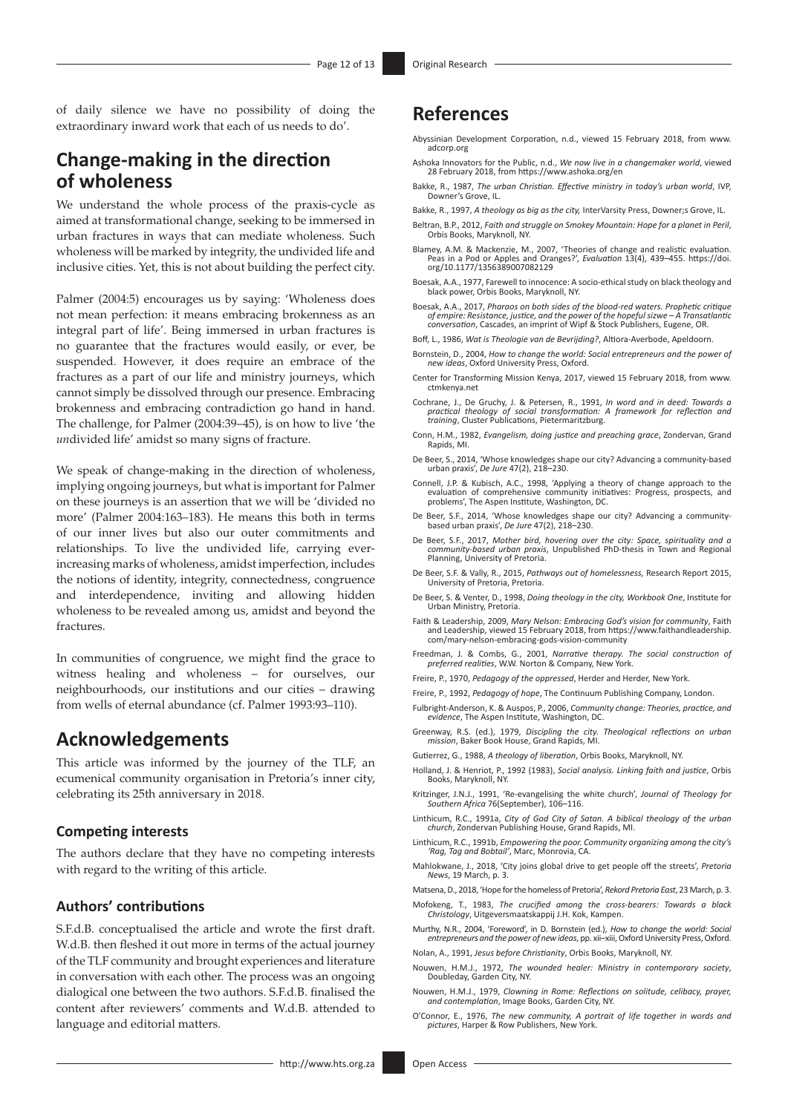of daily silence we have no possibility of doing the extraordinary inward work that each of us needs to do'.

# **Change-making in the direction of wholeness**

We understand the whole process of the praxis-cycle as aimed at transformational change, seeking to be immersed in urban fractures in ways that can mediate wholeness. Such wholeness will be marked by integrity, the undivided life and inclusive cities. Yet, this is not about building the perfect city.

Palmer (2004:5) encourages us by saying: 'Wholeness does not mean perfection: it means embracing brokenness as an integral part of life'. Being immersed in urban fractures is no guarantee that the fractures would easily, or ever, be suspended. However, it does require an embrace of the fractures as a part of our life and ministry journeys, which cannot simply be dissolved through our presence. Embracing brokenness and embracing contradiction go hand in hand. The challenge, for Palmer (2004:39–45), is on how to live 'the *un*divided life' amidst so many signs of fracture.

We speak of change-making in the direction of wholeness, implying ongoing journeys, but what is important for Palmer on these journeys is an assertion that we will be 'divided no more' (Palmer 2004:163–183). He means this both in terms of our inner lives but also our outer commitments and relationships. To live the undivided life, carrying everincreasing marks of wholeness, amidst imperfection, includes the notions of identity, integrity, connectedness, congruence and interdependence, inviting and allowing hidden wholeness to be revealed among us, amidst and beyond the fractures.

In communities of congruence, we might find the grace to witness healing and wholeness – for ourselves, our neighbourhoods, our institutions and our cities – drawing from wells of eternal abundance (cf. Palmer 1993:93–110).

### **Acknowledgements**

This article was informed by the journey of the TLF, an ecumenical community organisation in Pretoria's inner city, celebrating its 25th anniversary in 2018.

#### **Competing interests**

The authors declare that they have no competing interests with regard to the writing of this article.

### **Authors' contributions**

S.F.d.B. conceptualised the article and wrote the first draft. W.d.B. then fleshed it out more in terms of the actual journey of the TLF community and brought experiences and literature in conversation with each other. The process was an ongoing dialogical one between the two authors. S.F.d.B. finalised the content after reviewers' comments and W.d.B. attended to language and editorial matters.

# **References**

- Abyssinian Development Corporation, n.d., viewed 15 February 2018, from [www.](www.adcorp.org) [adcorp.org](www.adcorp.org)
- Ashoka Innovators for the Public, n.d., *We now live in a changemaker world*, viewed 28 February 2018, from <https://www.ashoka.org/en>
- Bakke, R., 1987, *The urban Christian. Effective ministry in today's urban world*, IVP, Downer's Grove, IL.
- Bakke, R., 1997, *A theology as big as the city,* InterVarsity Press, Downer;s Grove, IL.
- Beltran, B.P., 2012, *Faith and struggle on Smokey Mountain: Hope for a planet in Peril,* Orbis Books, Maryknoll, NY.
- Blamey, A.M. & Mackenzie, M., 2007, 'Theories of change and realistic evaluation. Peas in a Pod or Apples and Oranges?', *Evaluation* 13(4), 439–455. [https://doi.](https://doi.org/10.1177/1356389007082129) [org/10.1177/1356389007082129](https://doi.org/10.1177/1356389007082129)
- Boesak, A.A., 1977, Farewell to innocence: A socio-ethical study on black theology and black power, Orbis Books, Maryknoll, NY.
- Boesak, A.A., 2017, *Pharaos on both sides of the blood-red waters. Prophetic critique of empire: Resistance, justice, and the power of the hopeful sizwe A Transatlantic conversation*, Cascades, an imprint of Wipf & Stock Publishers, Eugene, OR.
- Boff, L., 1986, *Wat is Theologie van de Bevrijding?*, Altiora-Averbode, Apeldoorn.
- Bornstein, D., 2004, *How to change the world: Social entrepreneurs and the power of new ideas*, Oxford University Press, Oxford.
- Center for Transforming Mission Kenya, 2017, viewed 15 February 2018, from [www.](www.ctmkenya.net) [ctmkenya.net](www.ctmkenya.net)
- Cochrane, J., De Gruchy, J. & Petersen, R., 1991, In word and in deed: Towards a<br>practical theology of social transformation: A framework for reflection and<br>training, Cluster Publications, Pietermaritzburg.
- Conn, H.M., 1982, *Evangelism, doing justice and preaching grace*, Zondervan, Grand Rapids, MI.
- De Beer, S., 2014, 'Whose knowledges shape our city? Advancing a community-based urban praxis', *De Jure* 47(2), 218–230.
- Connell, J.P. & Kubisch, A.C., 1998, 'Applying a theory of change approach to the evaluation of comprehensive community initiatives: Progress, prospects, and problems', The Aspen Institute, Washington, DC.
- De Beer, S.F., 2014, 'Whose knowledges shape our city? Advancing a communitybased urban praxis', *De Jure* 47(2), 218–230.
- De Beer, S.F., 2017, *Mother bird, hovering over the city: Space, spirituality and a community-based urban praxis*, Unpublished PhD-thesis in Town and Regional Planning, University of Pretoria.
- De Beer, S.F. & Vally, R., 2015, *Pathways out of homelessness,* Research Report 2015, University of Pretoria, Pretoria.
- De Beer, S. & Venter, D., 1998, *Doing theology in the city, Workbook One*, Institute for Urban Ministry, Pretoria.
- Faith & Leadership, 2009, *Mary Nelson: Embracing God's vision for community*, Faith and Leadership, viewed 15 February 2018, from [https://www.faithandleadership.](https://www.faithandleadership.com/mary-nelson-embracing-gods-vision-community) [com/mary-nelson-embracing-gods-vision-community](https://www.faithandleadership.com/mary-nelson-embracing-gods-vision-community)
- Freedman, J. & Combs, G., 2001, *Narrative therapy. The social construction of preferred realities*, W.W. Norton & Company, New York.
- Freire, P., 1970, *Pedagogy of the oppressed*, Herder and Herder, New York.
- Freire, P., 1992, *Pedagogy of hope*, The Continuum Publishing Company, London. Fulbright-Anderson, K. & Auspos, P., 2006, *Community change: Theories, practice, and*
- *evidence*, The Aspen Institute, Washington, DC. Greenway, R.S. (ed.), 1979, *Discipling the city. Theological reflections on urban mission*, Baker Book House, Grand Rapids, MI.
- Gutierrez, G., 1988, *A theology of liberation*, Orbis Books, Maryknoll, NY.
- Holland, J. & Henriot, P., 1992 (1983), *Social analysis. Linking faith and justice*, Orbis Books, Maryknoll, NY.
- Kritzinger, J.N.J., 1991, 'Re-evangelising the white church', *Journal of Theology for Southern Africa* 76(September), 106–116.
- Linthicum, R.C., 1991a, *City of God City of Satan. A biblical theology of the urban church*, Zondervan Publishing House, Grand Rapids, MI.
- Linthicum, R.C., 1991b, *Empowering the poor. Community organizing among the city's 'Rag, Tag and Bobtail'*, Marc, Monrovia, CA.
- Mahlokwane, J., 2018, 'City joins global drive to get people off the streets', *Pretoria News*, 19 March, p. 3.
- Matsena, D., 2018, 'Hope for the homeless of Pretoria', *Rekord Pretoria East*, 23 March, p. 3.
- Mofokeng, T., 1983, *The crucified among the cross-bearers: Towards a black Christology*, Uitgeversmaatskappij J.H. Kok, Kampen.
- Murthy, N.R., 2004, 'Foreword', in D. Bornstein (ed.), *How to change the world: Social entrepreneurs and the power of new ideas*, pp. xii–xiii, Oxford University Press, Oxford.
- Nolan, A., 1991, *Jesus before Christianity*, Orbis Books, Maryknoll, NY.
- Nouwen, H.M.J., 1972, *The wounded healer: Ministry in contemporary society*, Doubleday, Garden City, NY.
- Nouwen, H.M.J., 1979, *Clowning in Rome: Reflections on solitude, celibacy, prayer, and contemplation*, Image Books, Garden City, NY.
- O'Connor, E., 1976, *The new community, A portrait of life together in words and pictures*, Harper & Row Publishers, New York.